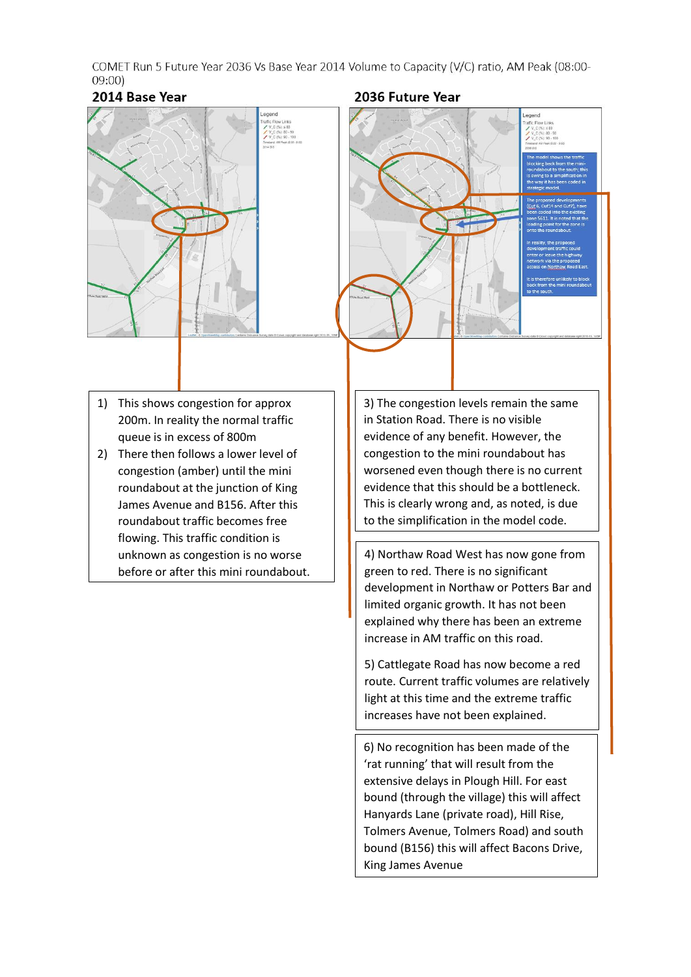COMET Run 5 Future Year 2036 Vs Base Year 2014 Volume to Capacity (V/C) ratio, AM Peak (08:00- $09:00$ 

## 2014 Base Year



## 2036 Future Year



- 1) This shows congestion for approx 200m. In reality the normal traffic queue is in excess of 800m
- 2) There then follows a lower level of congestion (amber) until the mini roundabout at the junction of King James Avenue and B156. After this roundabout traffic becomes free flowing. This traffic condition is unknown as congestion is no worse before or after this mini roundabout.

3) The congestion levels remain the same in Station Road. There is no visible evidence of any benefit. However, the congestion to the mini roundabout has worsened even though there is no current evidence that this should be a bottleneck. This is clearly wrong and, as noted, is due to the simplification in the model code.

4) Northaw Road West has now gone from green to red. There is no significant development in Northaw or Potters Bar and limited organic growth. It has not been explained why there has been an extreme increase in AM traffic on this road.

5) Cattlegate Road has now become a red route. Current traffic volumes are relatively light at this time and the extreme traffic increases have not been explained.

6) No recognition has been made of the 'rat running' that will result from the extensive delays in Plough Hill. For east bound (through the village) this will affect Hanyards Lane (private road), Hill Rise, Tolmers Avenue, Tolmers Road) and south bound (B156) this will affect Bacons Drive, King James Avenue